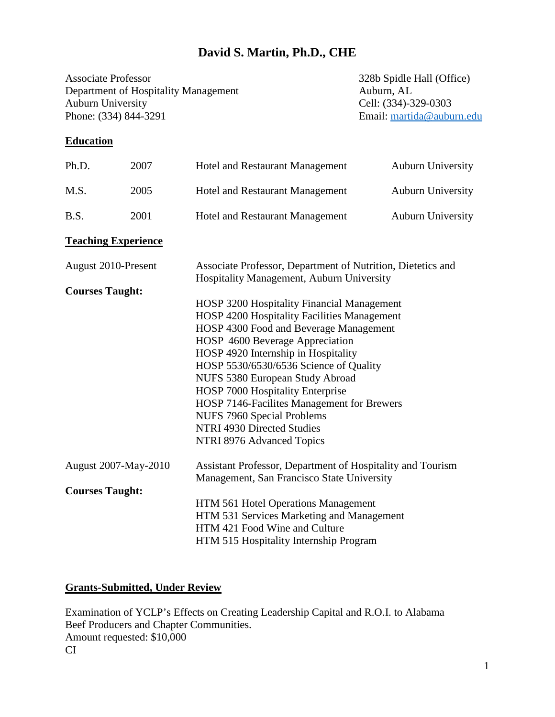## **David S. Martin, Ph.D., CHE**

Associate Professor<br>
Department of Hospitality Management<br>
Auburn, AL<br>
Auburn, AL Department of Hospitality Management Auburn University<br>
Phone: (334) 844-3291<br>
Email: martida@aubu

Email: [martida@auburn.edu](mailto:martida@auburn.edu)

## **Education**

| Ph.D.                       | 2007                       | <b>Hotel and Restaurant Management</b>                                                                   | <b>Auburn University</b> |  |
|-----------------------------|----------------------------|----------------------------------------------------------------------------------------------------------|--------------------------|--|
| M.S.                        | 2005                       | Hotel and Restaurant Management                                                                          | <b>Auburn University</b> |  |
| B.S.                        | 2001                       | Hotel and Restaurant Management                                                                          | <b>Auburn University</b> |  |
|                             | <b>Teaching Experience</b> |                                                                                                          |                          |  |
| August 2010-Present         |                            | Associate Professor, Department of Nutrition, Dietetics and<br>Hospitality Management, Auburn University |                          |  |
| <b>Courses Taught:</b>      |                            |                                                                                                          |                          |  |
|                             |                            | HOSP 3200 Hospitality Financial Management                                                               |                          |  |
|                             |                            | HOSP 4200 Hospitality Facilities Management                                                              |                          |  |
|                             |                            | HOSP 4300 Food and Beverage Management                                                                   |                          |  |
|                             |                            | HOSP 4600 Beverage Appreciation                                                                          |                          |  |
|                             |                            | HOSP 4920 Internship in Hospitality                                                                      |                          |  |
|                             |                            | HOSP 5530/6530/6536 Science of Quality                                                                   |                          |  |
|                             |                            | NUFS 5380 European Study Abroad                                                                          |                          |  |
|                             |                            | HOSP 7000 Hospitality Enterprise                                                                         |                          |  |
|                             |                            | HOSP 7146-Facilites Management for Brewers                                                               |                          |  |
|                             |                            | <b>NUFS 7960 Special Problems</b>                                                                        |                          |  |
|                             |                            | NTRI 4930 Directed Studies                                                                               |                          |  |
|                             |                            | NTRI 8976 Advanced Topics                                                                                |                          |  |
| <b>August 2007-May-2010</b> |                            | Assistant Professor, Department of Hospitality and Tourism                                               |                          |  |
|                             |                            | Management, San Francisco State University                                                               |                          |  |
| <b>Courses Taught:</b>      |                            |                                                                                                          |                          |  |
|                             |                            | HTM 561 Hotel Operations Management                                                                      |                          |  |
|                             |                            | HTM 531 Services Marketing and Management                                                                |                          |  |
|                             |                            | HTM 421 Food Wine and Culture                                                                            |                          |  |
|                             |                            | HTM 515 Hospitality Internship Program                                                                   |                          |  |

#### **Grants-Submitted, Under Review**

Examination of YCLP's Effects on Creating Leadership Capital and R.O.I. to Alabama Beef Producers and Chapter Communities. Amount requested: \$10,000 CI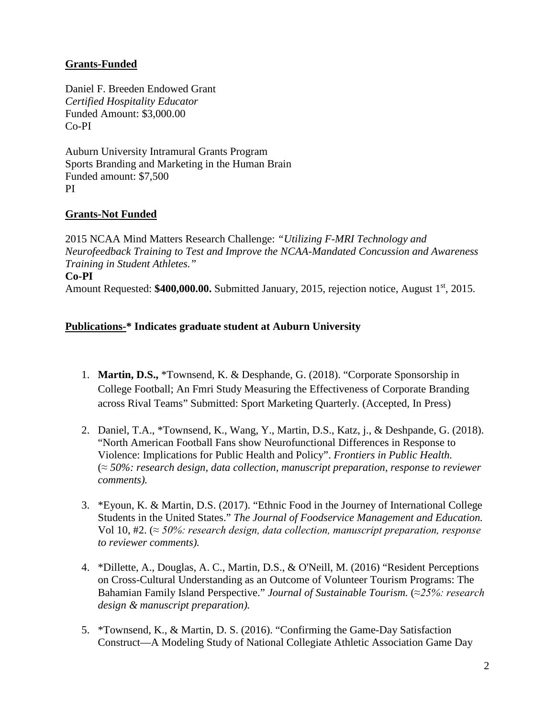## **Grants-Funded**

Daniel F. Breeden Endowed Grant *Certified Hospitality Educator* Funded Amount: \$3,000.00 Co-PI

Auburn University Intramural Grants Program Sports Branding and Marketing in the Human Brain Funded amount: \$7,500 PI

#### **Grants-Not Funded**

2015 NCAA Mind Matters Research Challenge: *"Utilizing F-MRI Technology and Neurofeedback Training to Test and Improve the NCAA-Mandated Concussion and Awareness Training in Student Athletes."* **Co-PI**  Amount Requested: \$400,000.00. Submitted January, 2015, rejection notice, August 1<sup>st</sup>, 2015.

#### **Publications-\* Indicates graduate student at Auburn University**

- 1. **Martin, D.S.,** \*Townsend, K. & Desphande, G. (2018). "Corporate Sponsorship in College Football; An Fmri Study Measuring the Effectiveness of Corporate Branding across Rival Teams" Submitted: Sport Marketing Quarterly. (Accepted, In Press)
- 2. Daniel, T.A., \*Townsend, K., Wang, Y., Martin, D.S., Katz, j., & Deshpande, G. (2018). "North American Football Fans show Neurofunctional Differences in Response to Violence: Implications for Public Health and Policy". *Frontiers in Public Health.* (*≈ 50%: research design, data collection, manuscript preparation, response to reviewer comments).*
- 3. \*Eyoun, K. & Martin, D.S. (2017). "Ethnic Food in the Journey of International College Students in the United States." *The Journal of Foodservice Management and Education.*  Vol 10, #2. (*≈ 50%: research design, data collection, manuscript preparation, response to reviewer comments).*
- 4. \*Dillette, A., Douglas, A. C., Martin, D.S., & O'Neill, M. (2016) "Resident Perceptions on Cross-Cultural Understanding as an Outcome of Volunteer Tourism Programs: The Bahamian Family Island Perspective." *Journal of Sustainable Tourism.* (*≈25%: research design & manuscript preparation).*
- 5. \*Townsend, K., & Martin, D. S. (2016). "Confirming the Game-Day Satisfaction Construct—A Modeling Study of National Collegiate Athletic Association Game Day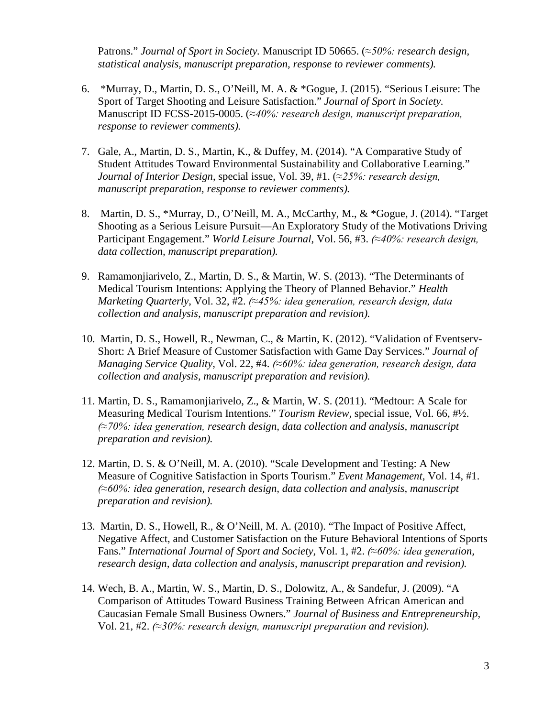Patrons." *Journal of Sport in Society.* Manuscript ID 50665. (*≈50%: research design, statistical analysis, manuscript preparation, response to reviewer comments).*

- 6. \*Murray, D., Martin, D. S., O'Neill, M. A. & \*Gogue, J. (2015). "Serious Leisure: The Sport of Target Shooting and Leisure Satisfaction." *Journal of Sport in Society.* Manuscript ID FCSS-2015-0005. (*≈40%: research design, manuscript preparation, response to reviewer comments).*
- 7. Gale, A., Martin, D. S., Martin, K., & Duffey, M. (2014). "A Comparative Study of Student Attitudes Toward Environmental Sustainability and Collaborative Learning." *Journal of Interior Design*, special issue, Vol. 39, #1. (*≈25%: research design, manuscript preparation, response to reviewer comments).*
- 8. Martin, D. S., \*Murray, D., O'Neill, M. A., McCarthy, M., & \*Gogue, J. (2014). "Target Shooting as a Serious Leisure Pursuit—An Exploratory Study of the Motivations Driving Participant Engagement." *World Leisure Journal*, Vol. 56, #3. *(≈40%: research design, data collection, manuscript preparation).*
- 9. Ramamonjiarivelo, Z., Martin, D. S., & Martin, W. S. (2013). "The Determinants of Medical Tourism Intentions: Applying the Theory of Planned Behavior." *Health Marketing Quarterly*, Vol. 32, #2. *(≈45%: idea generation, research design, data collection and analysis, manuscript preparation and revision).*
- 10. Martin, D. S., Howell, R., Newman, C., & Martin, K. (2012). "Validation of Eventserv-Short: A Brief Measure of Customer Satisfaction with Game Day Services." *Journal of Managing Service Quality,* Vol. 22, #4. *(≈60%: idea generation, research design, data collection and analysis, manuscript preparation and revision).*
- 11. Martin, D. S., Ramamonjiarivelo, Z., & Martin, W. S. (2011). "Medtour: A Scale for Measuring Medical Tourism Intentions." *Tourism Review,* special issue*,* Vol. 66, #½. *(≈70%: idea generation, research design, data collection and analysis, manuscript preparation and revision).*
- 12. Martin, D. S. & O'Neill, M. A. (2010). "Scale Development and Testing: A New Measure of Cognitive Satisfaction in Sports Tourism." *Event Management*, Vol. 14, #1. *(≈60%: idea generation, research design, data collection and analysis, manuscript preparation and revision).*
- 13. Martin, D. S., Howell, R., & O'Neill, M. A. (2010). "The Impact of Positive Affect, Negative Affect, and Customer Satisfaction on the Future Behavioral Intentions of Sports Fans." *International Journal of Sport and Society*, Vol. 1, #2. *(≈60%: idea generation, research design, data collection and analysis, manuscript preparation and revision).*
- 14. Wech, B. A., Martin, W. S., Martin, D. S., Dolowitz, A., & Sandefur, J. (2009). "A Comparison of Attitudes Toward Business Training Between African American and Caucasian Female Small Business Owners." *Journal of Business and Entrepreneurship,* Vol. 21, #2. *(≈30%: research design, manuscript preparation and revision).*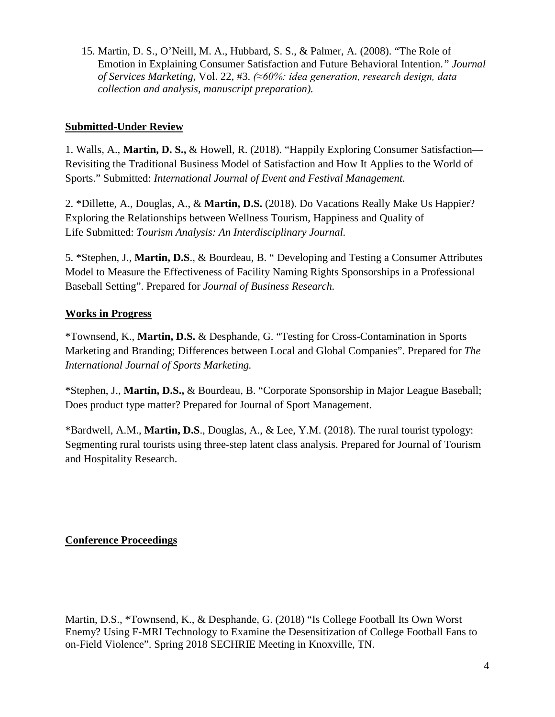15. Martin, D. S., O'Neill, M. A., Hubbard, S. S., & Palmer, A. (2008). "The Role of Emotion in Explaining Consumer Satisfaction and Future Behavioral Intention.*" Journal of Services Marketing*, Vol. 22, #3. *(≈60%: idea generation, research design, data collection and analysis, manuscript preparation).*

### **Submitted-Under Review**

1. Walls, A., **Martin, D. S.,** & Howell, R. (2018). "Happily Exploring Consumer Satisfaction— Revisiting the Traditional Business Model of Satisfaction and How It Applies to the World of Sports." Submitted: *International Journal of Event and Festival Management.*

2. \*Dillette, A., Douglas, A., & **Martin, D.S.** (2018). Do Vacations Really Make Us Happier? Exploring the Relationships between Wellness Tourism, Happiness and Quality of Life Submitted: *Tourism Analysis: An Interdisciplinary Journal.*

5. \*Stephen, J., **Martin, D.S**., & Bourdeau, B. " Developing and Testing a Consumer Attributes Model to Measure the Effectiveness of Facility Naming Rights Sponsorships in a Professional Baseball Setting". Prepared for *Journal of Business Research.*

### **Works in Progress**

\*Townsend, K., **Martin, D.S.** & Desphande, G. "Testing for Cross-Contamination in Sports Marketing and Branding; Differences between Local and Global Companies". Prepared for *The International Journal of Sports Marketing.*

\*Stephen, J., **Martin, D.S.,** & Bourdeau, B. "Corporate Sponsorship in Major League Baseball; Does product type matter? Prepared for Journal of Sport Management.

\*Bardwell, A.M., **Martin, D.S**., Douglas, A., & Lee, Y.M. (2018). The rural tourist typology: Segmenting rural tourists using three-step latent class analysis. Prepared for Journal of Tourism and Hospitality Research.

#### **Conference Proceedings**

Martin, D.S., \*Townsend, K., & Desphande, G. (2018) "Is College Football Its Own Worst Enemy? Using F-MRI Technology to Examine the Desensitization of College Football Fans to on-Field Violence". Spring 2018 SECHRIE Meeting in Knoxville, TN.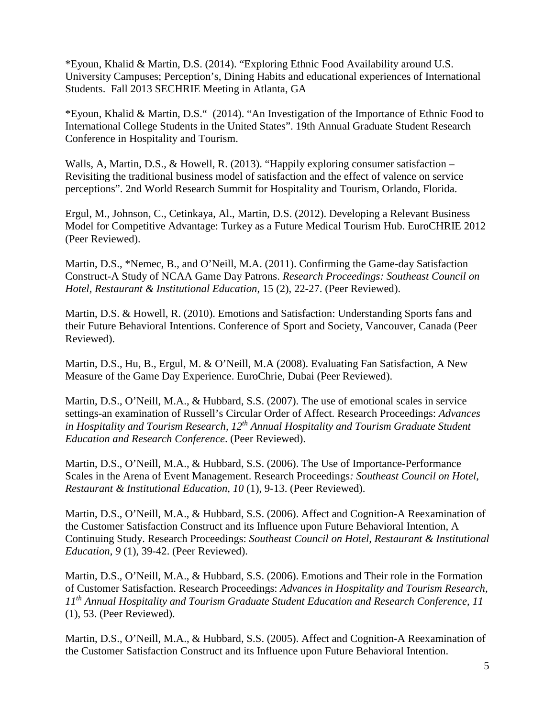\*Eyoun, Khalid & Martin, D.S. (2014). "Exploring Ethnic Food Availability around U.S. University Campuses; Perception's, Dining Habits and educational experiences of International Students. Fall 2013 SECHRIE Meeting in Atlanta, GA

\*Eyoun, Khalid & Martin, D.S." (2014). "An Investigation of the Importance of Ethnic Food to International College Students in the United States". 19th Annual Graduate Student Research Conference in Hospitality and Tourism.

Walls, A, Martin, D.S., & Howell, R. (2013). "Happily exploring consumer satisfaction – Revisiting the traditional business model of satisfaction and the effect of valence on service perceptions". 2nd World Research Summit for Hospitality and Tourism, Orlando, Florida.

Ergul, M., Johnson, C., Cetinkaya, Al., Martin, D.S. (2012). Developing a Relevant Business Model for Competitive Advantage: Turkey as a Future Medical Tourism Hub. EuroCHRIE 2012 (Peer Reviewed).

Martin, D.S., \*Nemec, B., and O'Neill, M.A. (2011). Confirming the Game-day Satisfaction Construct-A Study of NCAA Game Day Patrons. *Research Proceedings: Southeast Council on Hotel, Restaurant & Institutional Education*, 15 (2), 22-27. (Peer Reviewed).

Martin, D.S. & Howell, R. (2010). Emotions and Satisfaction: Understanding Sports fans and their Future Behavioral Intentions. Conference of Sport and Society, Vancouver, Canada (Peer Reviewed).

Martin, D.S., Hu, B., Ergul, M. & O'Neill, M.A (2008). Evaluating Fan Satisfaction, A New Measure of the Game Day Experience. EuroChrie, Dubai (Peer Reviewed).

Martin, D.S., O'Neill, M.A., & Hubbard, S.S. (2007). The use of emotional scales in service settings-an examination of Russell's Circular Order of Affect. Research Proceedings: *Advances in Hospitality and Tourism Research, 12th Annual Hospitality and Tourism Graduate Student Education and Research Conference*. (Peer Reviewed).

Martin, D.S., O'Neill, M.A., & Hubbard, S.S. (2006). The Use of Importance-Performance Scales in the Arena of Event Management. Research Proceedings*: Southeast Council on Hotel, Restaurant & Institutional Education*, *10* (1), 9-13. (Peer Reviewed).

Martin, D.S., O'Neill, M.A., & Hubbard, S.S. (2006). Affect and Cognition-A Reexamination of the Customer Satisfaction Construct and its Influence upon Future Behavioral Intention, A Continuing Study. Research Proceedings: *Southeast Council on Hotel, Restaurant & Institutional Education*, *9* (1), 39-42. (Peer Reviewed).

Martin, D.S., O'Neill, M.A., & Hubbard, S.S. (2006). Emotions and Their role in the Formation of Customer Satisfaction. Research Proceedings: *Advances in Hospitality and Tourism Research, 11th Annual Hospitality and Tourism Graduate Student Education and Research Conference*, *11* (1), 53. (Peer Reviewed).

Martin, D.S., O'Neill, M.A., & Hubbard, S.S. (2005). Affect and Cognition-A Reexamination of the Customer Satisfaction Construct and its Influence upon Future Behavioral Intention.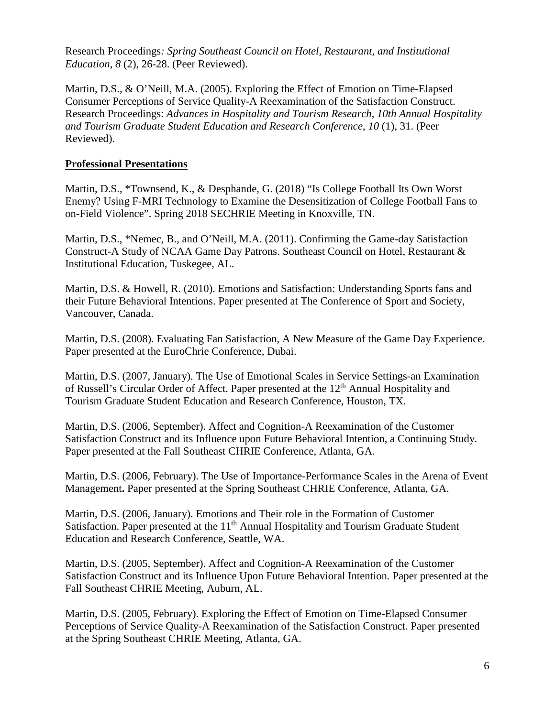Research Proceedings*: Spring Southeast Council on Hotel, Restaurant, and Institutional Education*, *8* (2), 26-28. (Peer Reviewed).

Martin, D.S., & O'Neill, M.A. (2005). Exploring the Effect of Emotion on Time-Elapsed Consumer Perceptions of Service Quality-A Reexamination of the Satisfaction Construct. Research Proceedings: *Advances in Hospitality and Tourism Research, 10th Annual Hospitality and Tourism Graduate Student Education and Research Conference*, *10* (1), 31. (Peer Reviewed).

#### **Professional Presentations**

Martin, D.S., \*Townsend, K., & Desphande, G. (2018) "Is College Football Its Own Worst Enemy? Using F-MRI Technology to Examine the Desensitization of College Football Fans to on-Field Violence". Spring 2018 SECHRIE Meeting in Knoxville, TN.

Martin, D.S., \*Nemec, B., and O'Neill, M.A. (2011). Confirming the Game-day Satisfaction Construct-A Study of NCAA Game Day Patrons. Southeast Council on Hotel, Restaurant & Institutional Education, Tuskegee, AL.

Martin, D.S. & Howell, R. (2010). Emotions and Satisfaction: Understanding Sports fans and their Future Behavioral Intentions. Paper presented at The Conference of Sport and Society, Vancouver, Canada.

Martin, D.S. (2008). Evaluating Fan Satisfaction, A New Measure of the Game Day Experience. Paper presented at the EuroChrie Conference, Dubai.

Martin, D.S. (2007, January). The Use of Emotional Scales in Service Settings-an Examination of Russell's Circular Order of Affect. Paper presented at the 12<sup>th</sup> Annual Hospitality and Tourism Graduate Student Education and Research Conference, Houston, TX.

Martin, D.S. (2006, September). Affect and Cognition-A Reexamination of the Customer Satisfaction Construct and its Influence upon Future Behavioral Intention, a Continuing Study*.* Paper presented at the Fall Southeast CHRIE Conference, Atlanta, GA.

Martin, D.S. (2006, February). The Use of Importance-Performance Scales in the Arena of Event Management**.** Paper presented at the Spring Southeast CHRIE Conference, Atlanta, GA.

Martin, D.S. (2006, January). Emotions and Their role in the Formation of Customer Satisfaction. Paper presented at the 11<sup>th</sup> Annual Hospitality and Tourism Graduate Student Education and Research Conference, Seattle, WA.

Martin, D.S. (2005, September). Affect and Cognition-A Reexamination of the Customer Satisfaction Construct and its Influence Upon Future Behavioral Intention*.* Paper presented at the Fall Southeast CHRIE Meeting, Auburn, AL.

Martin, D.S. (2005, February). Exploring the Effect of Emotion on Time-Elapsed Consumer Perceptions of Service Quality-A Reexamination of the Satisfaction Construct. Paper presented at the Spring Southeast CHRIE Meeting, Atlanta, GA.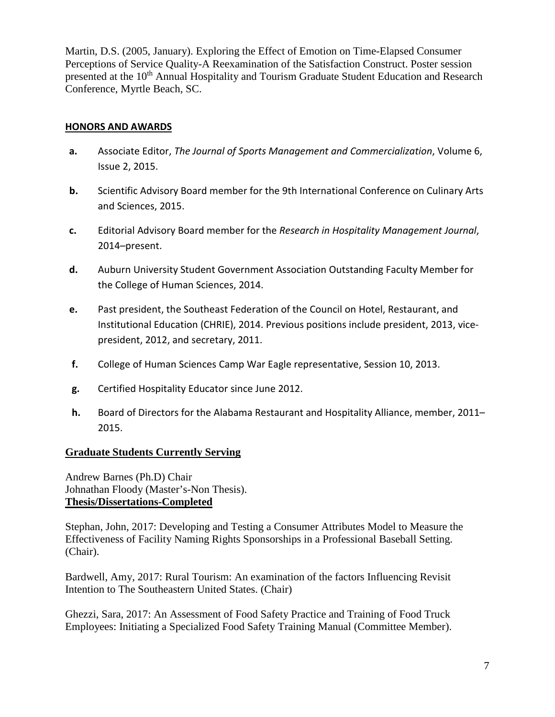Martin, D.S. (2005, January). Exploring the Effect of Emotion on Time-Elapsed Consumer Perceptions of Service Quality-A Reexamination of the Satisfaction Construct. Poster session presented at the 10<sup>th</sup> Annual Hospitality and Tourism Graduate Student Education and Research Conference, Myrtle Beach, SC.

#### **HONORS AND AWARDS**

- **a.** Associate Editor, *The Journal of Sports Management and Commercialization*, Volume 6, Issue 2, 2015.
- **b.** Scientific Advisory Board member for the 9th International Conference on Culinary Arts and Sciences, 2015.
- **c.** Editorial Advisory Board member for the *Research in Hospitality Management Journal*, 2014–present.
- **d.** Auburn University Student Government Association Outstanding Faculty Member for the College of Human Sciences, 2014.
- **e.** Past president, the Southeast Federation of the Council on Hotel, Restaurant, and Institutional Education (CHRIE), 2014. Previous positions include president, 2013, vicepresident, 2012, and secretary, 2011.
- **f.** College of Human Sciences Camp War Eagle representative, Session 10, 2013.
- **g.** Certified Hospitality Educator since June 2012.
- **h.** Board of Directors for the Alabama Restaurant and Hospitality Alliance, member, 2011– 2015.

#### **Graduate Students Currently Serving**

Andrew Barnes (Ph.D) Chair Johnathan Floody (Master's-Non Thesis). **Thesis/Dissertations-Completed**

Stephan, John, 2017: Developing and Testing a Consumer Attributes Model to Measure the Effectiveness of Facility Naming Rights Sponsorships in a Professional Baseball Setting. (Chair).

Bardwell, Amy, 2017: Rural Tourism: An examination of the factors Influencing Revisit Intention to The Southeastern United States. (Chair)

Ghezzi, Sara, 2017: An Assessment of Food Safety Practice and Training of Food Truck Employees: Initiating a Specialized Food Safety Training Manual (Committee Member).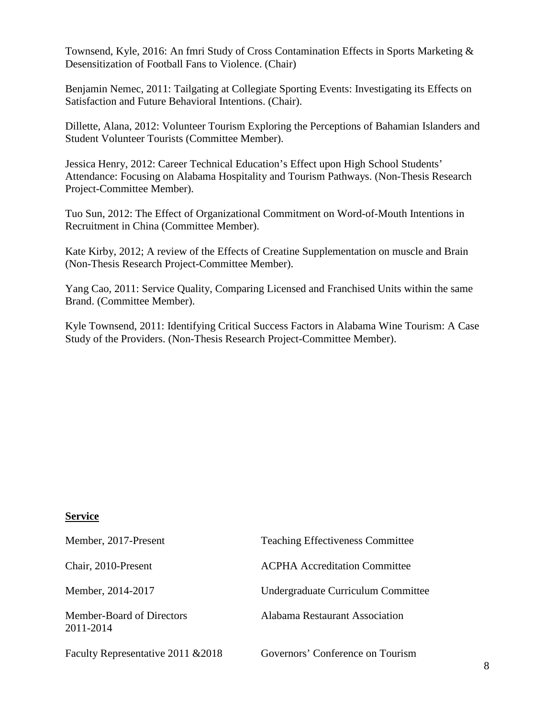Townsend, Kyle, 2016: An fmri Study of Cross Contamination Effects in Sports Marketing & Desensitization of Football Fans to Violence. (Chair)

Benjamin Nemec, 2011: Tailgating at Collegiate Sporting Events: Investigating its Effects on Satisfaction and Future Behavioral Intentions. (Chair).

Dillette, Alana, 2012: Volunteer Tourism Exploring the Perceptions of Bahamian Islanders and Student Volunteer Tourists (Committee Member).

Jessica Henry, 2012: Career Technical Education's Effect upon High School Students' Attendance: Focusing on Alabama Hospitality and Tourism Pathways. (Non-Thesis Research Project-Committee Member).

Tuo Sun, 2012: The Effect of Organizational Commitment on Word-of-Mouth Intentions in Recruitment in China (Committee Member).

Kate Kirby, 2012; A review of the Effects of Creatine Supplementation on muscle and Brain (Non-Thesis Research Project-Committee Member).

Yang Cao, 2011: Service Quality, Comparing Licensed and Franchised Units within the same Brand. (Committee Member).

Kyle Townsend, 2011: Identifying Critical Success Factors in Alabama Wine Tourism: A Case Study of the Providers. (Non-Thesis Research Project-Committee Member).

#### **Service**

| Member, 2017-Present                   | <b>Teaching Effectiveness Committee</b> |
|----------------------------------------|-----------------------------------------|
| Chair, 2010-Present                    | <b>ACPHA Accreditation Committee</b>    |
| Member, 2014-2017                      | Undergraduate Curriculum Committee      |
| Member-Board of Directors<br>2011-2014 | Alabama Restaurant Association          |
| Faculty Representative 2011 & 2018     | Governors' Conference on Tourism        |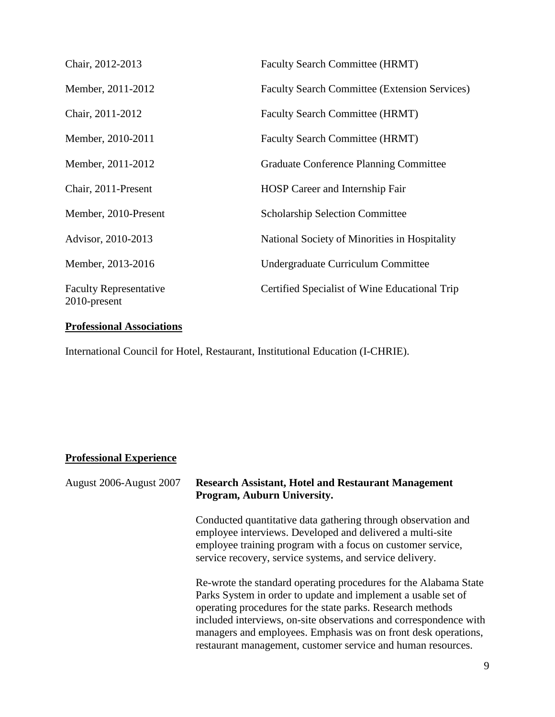| Chair, 2012-2013                              | <b>Faculty Search Committee (HRMT)</b>               |
|-----------------------------------------------|------------------------------------------------------|
| Member, 2011-2012                             | <b>Faculty Search Committee (Extension Services)</b> |
| Chair, 2011-2012                              | <b>Faculty Search Committee (HRMT)</b>               |
| Member, 2010-2011                             | Faculty Search Committee (HRMT)                      |
| Member, 2011-2012                             | <b>Graduate Conference Planning Committee</b>        |
| Chair, 2011-Present                           | HOSP Career and Internship Fair                      |
| Member, 2010-Present                          | <b>Scholarship Selection Committee</b>               |
| Advisor, 2010-2013                            | National Society of Minorities in Hospitality        |
| Member, 2013-2016                             | Undergraduate Curriculum Committee                   |
| <b>Faculty Representative</b><br>2010-present | Certified Specialist of Wine Educational Trip        |

# **Professional Associations**

International Council for Hotel, Restaurant, Institutional Education (I-CHRIE).

## **Professional Experience**

| August 2006-August 2007 | <b>Research Assistant, Hotel and Restaurant Management</b><br>Program, Auburn University.                                                                                                                                                                                                                                                                                                              |  |
|-------------------------|--------------------------------------------------------------------------------------------------------------------------------------------------------------------------------------------------------------------------------------------------------------------------------------------------------------------------------------------------------------------------------------------------------|--|
|                         | Conducted quantitative data gathering through observation and<br>employee interviews. Developed and delivered a multi-site<br>employee training program with a focus on customer service,<br>service recovery, service systems, and service delivery.                                                                                                                                                  |  |
|                         | Re-wrote the standard operating procedures for the Alabama State<br>Parks System in order to update and implement a usable set of<br>operating procedures for the state parks. Research methods<br>included interviews, on-site observations and correspondence with<br>managers and employees. Emphasis was on front desk operations,<br>restaurant management, customer service and human resources. |  |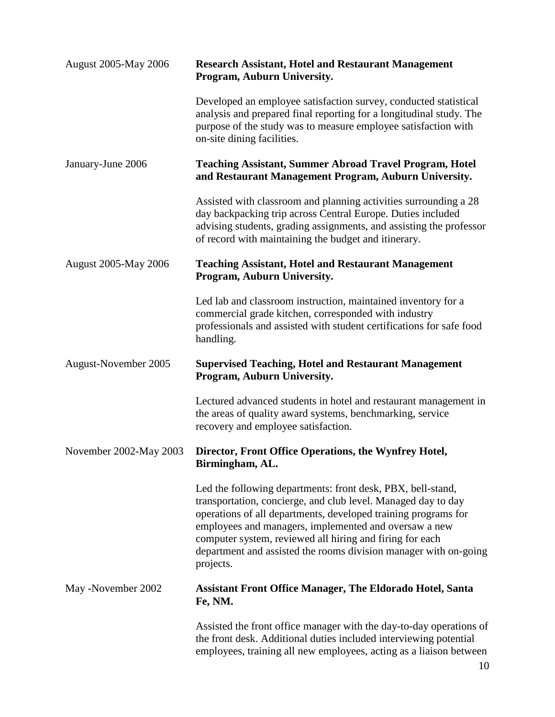| <b>August 2005-May 2006</b> | <b>Research Assistant, Hotel and Restaurant Management</b><br>Program, Auburn University.                                                                                                                                                                                                                                                                                                            |  |
|-----------------------------|------------------------------------------------------------------------------------------------------------------------------------------------------------------------------------------------------------------------------------------------------------------------------------------------------------------------------------------------------------------------------------------------------|--|
|                             | Developed an employee satisfaction survey, conducted statistical<br>analysis and prepared final reporting for a longitudinal study. The<br>purpose of the study was to measure employee satisfaction with<br>on-site dining facilities.                                                                                                                                                              |  |
| January-June 2006           | <b>Teaching Assistant, Summer Abroad Travel Program, Hotel</b><br>and Restaurant Management Program, Auburn University.                                                                                                                                                                                                                                                                              |  |
|                             | Assisted with classroom and planning activities surrounding a 28<br>day backpacking trip across Central Europe. Duties included<br>advising students, grading assignments, and assisting the professor<br>of record with maintaining the budget and itinerary.                                                                                                                                       |  |
| <b>August 2005-May 2006</b> | <b>Teaching Assistant, Hotel and Restaurant Management</b><br>Program, Auburn University.                                                                                                                                                                                                                                                                                                            |  |
|                             | Led lab and classroom instruction, maintained inventory for a<br>commercial grade kitchen, corresponded with industry<br>professionals and assisted with student certifications for safe food<br>handling.                                                                                                                                                                                           |  |
| August-November 2005        | <b>Supervised Teaching, Hotel and Restaurant Management</b><br>Program, Auburn University.                                                                                                                                                                                                                                                                                                           |  |
|                             | Lectured advanced students in hotel and restaurant management in<br>the areas of quality award systems, benchmarking, service<br>recovery and employee satisfaction.                                                                                                                                                                                                                                 |  |
| November 2002-May 2003      | Director, Front Office Operations, the Wynfrey Hotel,<br>Birmingham, AL.                                                                                                                                                                                                                                                                                                                             |  |
|                             | Led the following departments: front desk, PBX, bell-stand,<br>transportation, concierge, and club level. Managed day to day<br>operations of all departments, developed training programs for<br>employees and managers, implemented and oversaw a new<br>computer system, reviewed all hiring and firing for each<br>department and assisted the rooms division manager with on-going<br>projects. |  |
| May -November 2002          | <b>Assistant Front Office Manager, The Eldorado Hotel, Santa</b><br>Fe, NM.                                                                                                                                                                                                                                                                                                                          |  |
|                             | Assisted the front office manager with the day-to-day operations of<br>the front desk. Additional duties included interviewing potential                                                                                                                                                                                                                                                             |  |